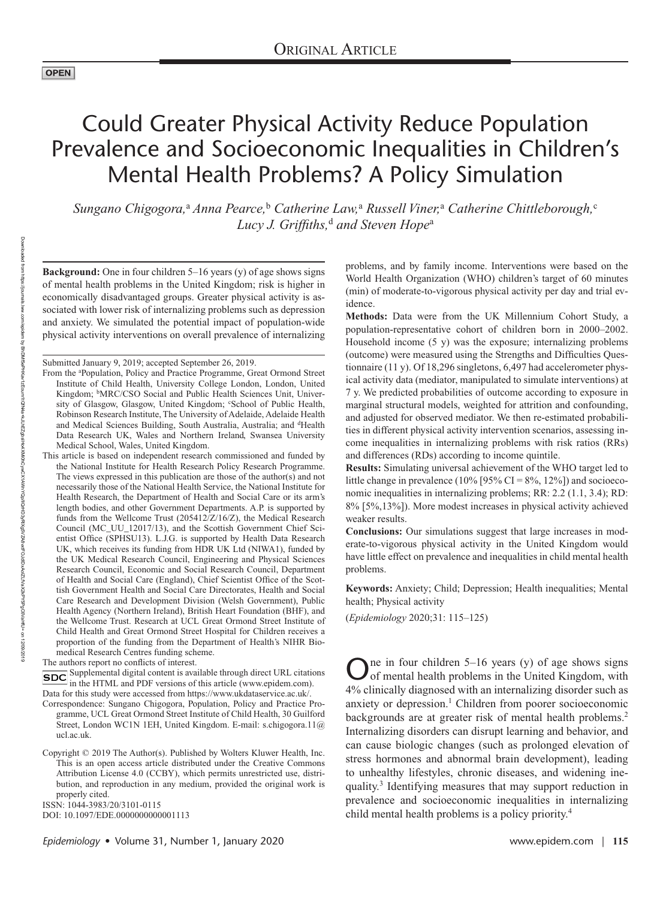# Could Greater Physical Activity Reduce Population Prevalence and Socioeconomic Inequalities in Children's Mental Health Problems? A Policy Simulation

*Sungano Chigogora,*<sup>a</sup>  *Anna Pearce,*<sup>b</sup>  *Catherine Law,*<sup>a</sup>  *Russell Viner,*<sup>a</sup>  *Catherine Chittleborough,*<sup>c</sup> *Lucy J. Griffiths,*<sup>d</sup>  *and Steven Hope*a

**Background:** One in four children 5–16 years (y) of age shows signs of mental health problems in the United Kingdom; risk is higher in economically disadvantaged groups. Greater physical activity is associated with lower risk of internalizing problems such as depression and anxiety. We simulated the potential impact of population-wide physical activity interventions on overall prevalence of internalizing

Submitted January 9, 2019; accepted September 26, 2019.

This article is based on independent research commissioned and funded by the National Institute for Health Research Policy Research Programme. The views expressed in this publication are those of the author(s) and not necessarily those of the National Health Service, the National Institute for Health Research, the Department of Health and Social Care or its arm's length bodies, and other Government Departments. A.P. is supported by funds from the Wellcome Trust (205412/Z/16/Z), the Medical Research Council (MC\_UU\_12017/13), and the Scottish Government Chief Scientist Office (SPHSU13). L.J.G. is supported by Health Data Research UK, which receives its funding from HDR UK Ltd (NIWA1), funded by the UK Medical Research Council, Engineering and Physical Sciences Research Council, Economic and Social Research Council, Department of Health and Social Care (England), Chief Scientist Office of the Scottish Government Health and Social Care Directorates, Health and Social Care Research and Development Division (Welsh Government), Public Health Agency (Northern Ireland), British Heart Foundation (BHF), and the Wellcome Trust. Research at UCL Great Ormond Street Institute of Child Health and Great Ormond Street Hospital for Children receives a proportion of the funding from the Department of Health's NIHR Biomedical Research Centres funding scheme.

The authors report no conflicts of interest.

**SDC** Supplemental digital content is available through direct URL citations In the HTML and PDF versions of this article [\(www.epidem.com\)](www.epidem.com). Data for this study were accessed from<https://www.ukdataservice.ac.uk/>.

Correspondence: Sungano Chigogora, Population, Policy and Practice Programme, UCL Great Ormond Street Institute of Child Health, 30 Guilford Street, London WC1N 1EH, United Kingdom. E-mail: [s.chigogora.11@](mailto:s.chigogora.11@ucl.ac.uk) [ucl.ac.uk.](mailto:s.chigogora.11@ucl.ac.uk)

DOI: 10.1097/EDE.0000000000001113

problems, and by family income. Interventions were based on the World Health Organization (WHO) children's target of 60 minutes (min) of moderate-to-vigorous physical activity per day and trial evidence.

**Methods:** Data were from the UK Millennium Cohort Study, a population-representative cohort of children born in 2000–2002. Household income  $(5 \text{ y})$  was the exposure; internalizing problems (outcome) were measured using the Strengths and Difficulties Questionnaire (11 y). Of 18,296 singletons, 6,497 had accelerometer physical activity data (mediator, manipulated to simulate interventions) at 7 y. We predicted probabilities of outcome according to exposure in marginal structural models, weighted for attrition and confounding, and adjusted for observed mediator. We then re-estimated probabilities in different physical activity intervention scenarios, assessing income inequalities in internalizing problems with risk ratios (RRs) and differences (RDs) according to income quintile.

**Results:** Simulating universal achievement of the WHO target led to little change in prevalence (10% [95% CI = 8%, 12%]) and socioeconomic inequalities in internalizing problems; RR: 2.2 (1.1, 3.4); RD: 8% [5%,13%]). More modest increases in physical activity achieved weaker results.

**Conclusions:** Our simulations suggest that large increases in moderate-to-vigorous physical activity in the United Kingdom would have little effect on prevalence and inequalities in child mental health problems.

**Keywords:** Anxiety; Child; Depression; Health inequalities; Mental health; Physical activity

(*Epidemiology* 2020;31: 115–125)

One in four children 5–16 years (y) of age shows signs of mental health problems in the United Kingdom, with 4% clinically diagnosed with an internalizing disorder such as anxiety or depression.<sup>1</sup> Children from poorer socioeconomic backgrounds are at greater risk of mental health problems.<sup>2</sup> Internalizing disorders can disrupt learning and behavior, and can cause biologic changes (such as prolonged elevation of stress hormones and abnormal brain development), leading to unhealthy lifestyles, chronic diseases, and widening inequality.3 Identifying measures that may support reduction in prevalence and socioeconomic inequalities in internalizing child mental health problems is a policy priority.<sup>4</sup> ISSN: 1044-3983/20/3101-0115<br>DOI: 10.1097/EDE.0000000000001113

From the <sup>a</sup>Population, Policy and Practice Programme, Great Ormond Street Institute of Child Health, University College London, London, United Kingdom; <sup>b</sup>MRC/CSO Social and Public Health Sciences Unit, University of Glasgow, Glasgow, United Kingdom; 'School of Public Health, Robinson Research Institute, The University of Adelaide, Adelaide Health and Medical Sciences Building, South Australia, Australia; and <sup>d</sup>Health Data Research UK, Wales and Northern Ireland, Swansea University Medical School, Wales, United Kingdom.

Copyright © 2019 The Author(s). Published by Wolters Kluwer Health, Inc. This is an open access article distributed under the [Creative Commons](http://creativecommons.org/licenses/by/4.0/)  [Attribution License 4.0 \(CCBY\),](http://creativecommons.org/licenses/by/4.0/) which permits unrestricted use, distribution, and reproduction in any medium, provided the original work is properly cited.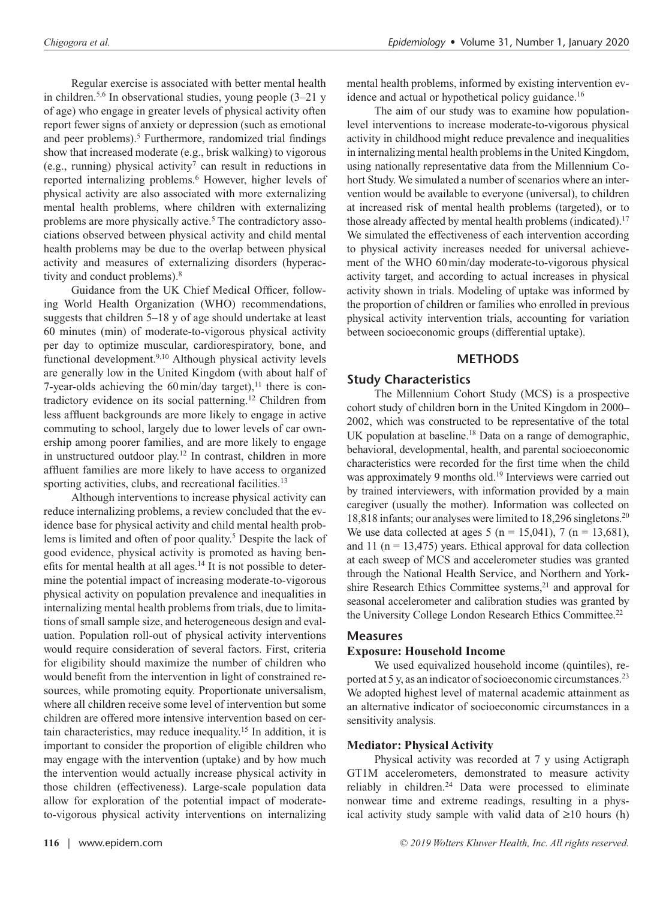Regular exercise is associated with better mental health in children.<sup>5,6</sup> In observational studies, young people  $(3-21 \text{ y})$ of age) who engage in greater levels of physical activity often report fewer signs of anxiety or depression (such as emotional and peer problems).<sup>5</sup> Furthermore, randomized trial findings show that increased moderate (e.g., brisk walking) to vigorous (e.g., running) physical activity<sup>7</sup> can result in reductions in reported internalizing problems.<sup>6</sup> However, higher levels of physical activity are also associated with more externalizing mental health problems, where children with externalizing problems are more physically active.<sup>5</sup> The contradictory associations observed between physical activity and child mental health problems may be due to the overlap between physical activity and measures of externalizing disorders (hyperactivity and conduct problems).<sup>8</sup>

Guidance from the UK Chief Medical Officer, following World Health Organization (WHO) recommendations, suggests that children 5–18 y of age should undertake at least 60 minutes (min) of moderate-to-vigorous physical activity per day to optimize muscular, cardiorespiratory, bone, and functional development.9,10 Although physical activity levels are generally low in the United Kingdom (with about half of 7-year-olds achieving the  $60$  min/day target),<sup>11</sup> there is contradictory evidence on its social patterning.12 Children from less affluent backgrounds are more likely to engage in active commuting to school, largely due to lower levels of car ownership among poorer families, and are more likely to engage in unstructured outdoor play.12 In contrast, children in more affluent families are more likely to have access to organized sporting activities, clubs, and recreational facilities.<sup>13</sup>

Although interventions to increase physical activity can reduce internalizing problems, a review concluded that the evidence base for physical activity and child mental health problems is limited and often of poor quality.<sup>5</sup> Despite the lack of good evidence, physical activity is promoted as having benefits for mental health at all ages.<sup>14</sup> It is not possible to determine the potential impact of increasing moderate-to-vigorous physical activity on population prevalence and inequalities in internalizing mental health problems from trials, due to limitations of small sample size, and heterogeneous design and evaluation. Population roll-out of physical activity interventions would require consideration of several factors. First, criteria for eligibility should maximize the number of children who would benefit from the intervention in light of constrained resources, while promoting equity. Proportionate universalism, where all children receive some level of intervention but some children are offered more intensive intervention based on certain characteristics, may reduce inequality.15 In addition, it is important to consider the proportion of eligible children who may engage with the intervention (uptake) and by how much the intervention would actually increase physical activity in those children (effectiveness). Large-scale population data allow for exploration of the potential impact of moderateto-vigorous physical activity interventions on internalizing

mental health problems, informed by existing intervention evidence and actual or hypothetical policy guidance.<sup>16</sup>

The aim of our study was to examine how populationlevel interventions to increase moderate-to-vigorous physical activity in childhood might reduce prevalence and inequalities in internalizing mental health problems in the United Kingdom, using nationally representative data from the Millennium Cohort Study. We simulated a number of scenarios where an intervention would be available to everyone (universal), to children at increased risk of mental health problems (targeted), or to those already affected by mental health problems (indicated).<sup>17</sup> We simulated the effectiveness of each intervention according to physical activity increases needed for universal achievement of the WHO 60min/day moderate-to-vigorous physical activity target, and according to actual increases in physical activity shown in trials. Modeling of uptake was informed by the proportion of children or families who enrolled in previous physical activity intervention trials, accounting for variation between socioeconomic groups (differential uptake).

## **METHODS**

## **Study Characteristics**

The Millennium Cohort Study (MCS) is a prospective cohort study of children born in the United Kingdom in 2000– 2002, which was constructed to be representative of the total UK population at baseline.<sup>18</sup> Data on a range of demographic, behavioral, developmental, health, and parental socioeconomic characteristics were recorded for the first time when the child was approximately 9 months old.<sup>19</sup> Interviews were carried out by trained interviewers, with information provided by a main caregiver (usually the mother). Information was collected on 18,818 infants; our analyses were limited to 18,296 singletons.20 We use data collected at ages 5 ( $n = 15,041$ ), 7 ( $n = 13,681$ ), and 11 ( $n = 13,475$ ) years. Ethical approval for data collection at each sweep of MCS and accelerometer studies was granted through the National Health Service, and Northern and Yorkshire Research Ethics Committee systems,<sup>21</sup> and approval for seasonal accelerometer and calibration studies was granted by the University College London Research Ethics Committee.<sup>22</sup>

## **Measures**

## **Exposure: Household Income**

We used equivalized household income (quintiles), reported at 5 y, as an indicator of socioeconomic circumstances.23 We adopted highest level of maternal academic attainment as an alternative indicator of socioeconomic circumstances in a sensitivity analysis.

## **Mediator: Physical Activity**

Physical activity was recorded at 7 y using Actigraph GT1M accelerometers, demonstrated to measure activity reliably in children.<sup>24</sup> Data were processed to eliminate nonwear time and extreme readings, resulting in a physical activity study sample with valid data of ≥10 hours (h)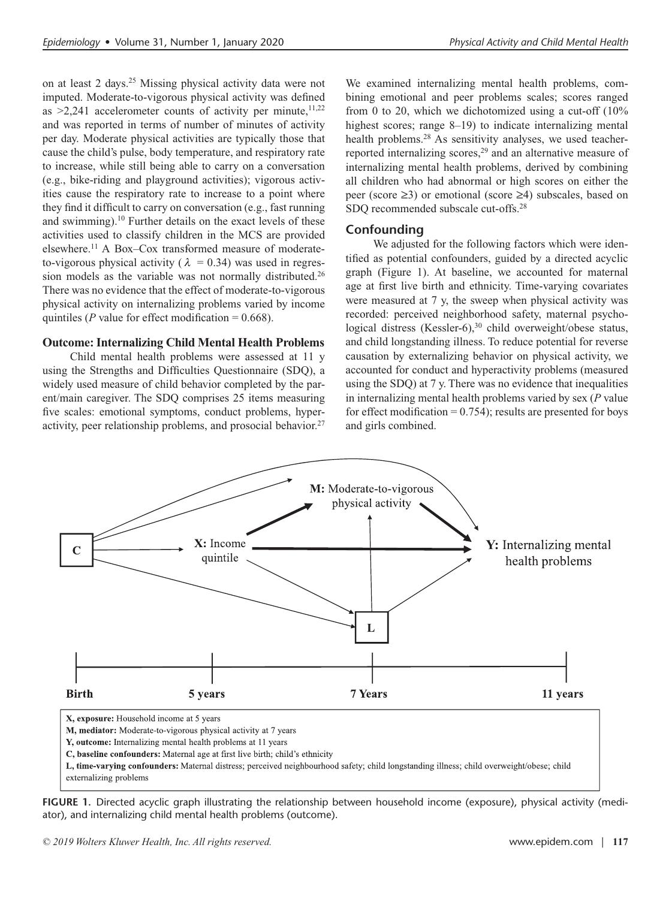on at least 2 days.25 Missing physical activity data were not imputed. Moderate-to-vigorous physical activity was defined as  $\geq$ 2,241 accelerometer counts of activity per minute,<sup>11,22</sup> and was reported in terms of number of minutes of activity per day. Moderate physical activities are typically those that cause the child's pulse, body temperature, and respiratory rate to increase, while still being able to carry on a conversation (e.g., bike-riding and playground activities); vigorous activities cause the respiratory rate to increase to a point where they find it difficult to carry on conversation (e.g., fast running and swimming).10 Further details on the exact levels of these activities used to classify children in the MCS are provided elsewhere.11 A Box–Cox transformed measure of moderate to-vigorous physical activity ( $\lambda = 0.34$ ) was used in regression models as the variable was not normally distributed.26 There was no evidence that the effect of moderate-to-vigorous physical activity on internalizing problems varied by income quintiles ( $P$  value for effect modification = 0.668).

#### **Outcome: Internalizing Child Mental Health Problems**

Child mental health problems were assessed at 11 y using the Strengths and Difficulties Questionnaire (SDQ), a widely used measure of child behavior completed by the parent/main caregiver. The SDQ comprises 25 items measuring five scales: emotional symptoms, conduct problems, hyperactivity, peer relationship problems, and prosocial behavior.27

We examined internalizing mental health problems, combining emotional and peer problems scales; scores ranged from 0 to 20, which we dichotomized using a cut-off (10% highest scores; range 8–19) to indicate internalizing mental health problems.<sup>28</sup> As sensitivity analyses, we used teacherreported internalizing scores,<sup>29</sup> and an alternative measure of internalizing mental health problems, derived by combining all children who had abnormal or high scores on either the peer (score ≥3) or emotional (score ≥4) subscales, based on SDQ recommended subscale cut-offs.28

#### **Confounding**

We adjusted for the following factors which were identified as potential confounders, guided by a directed acyclic graph (Figure 1). At baseline, we accounted for maternal age at first live birth and ethnicity. Time-varying covariates were measured at 7 y, the sweep when physical activity was recorded: perceived neighborhood safety, maternal psychological distress (Kessler-6),<sup>30</sup> child overweight/obese status, and child longstanding illness. To reduce potential for reverse causation by externalizing behavior on physical activity, we accounted for conduct and hyperactivity problems (measured using the SDQ) at 7 y. There was no evidence that inequalities in internalizing mental health problems varied by sex (*P* value for effect modification  $= 0.754$ ; results are presented for boys and girls combined.



**FIGURE 1.** Directed acyclic graph illustrating the relationship between household income (exposure), physical activity (mediator), and internalizing child mental health problems (outcome).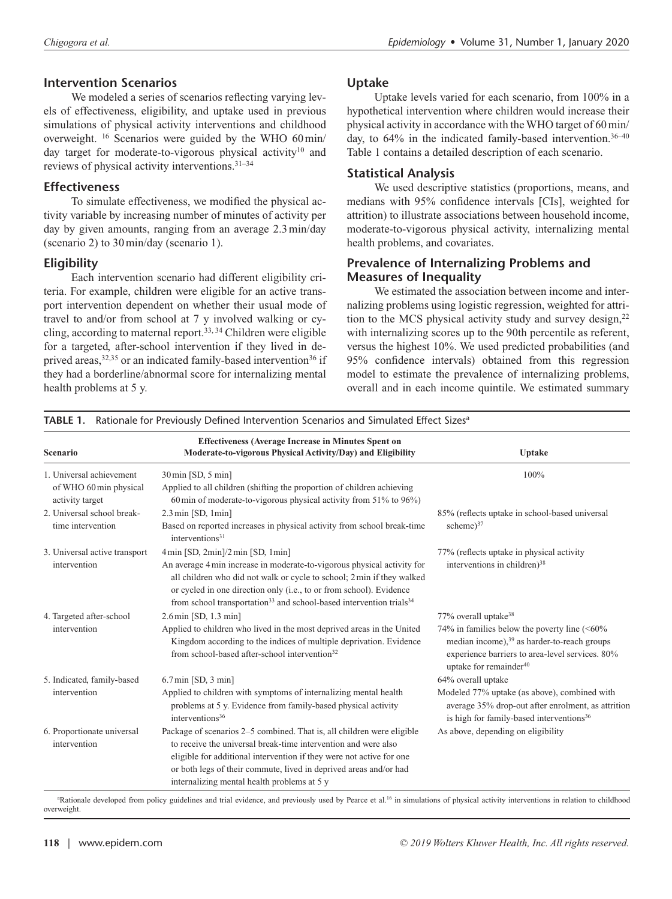#### **Intervention Scenarios**

We modeled a series of scenarios reflecting varying levels of effectiveness, eligibility, and uptake used in previous simulations of physical activity interventions and childhood overweight. 16 Scenarios were guided by the WHO 60min/ day target for moderate-to-vigorous physical activity<sup>10</sup> and reviews of physical activity interventions.31–34

#### **Effectiveness**

To simulate effectiveness, we modified the physical activity variable by increasing number of minutes of activity per day by given amounts, ranging from an average 2.3min/day (scenario 2) to 30min/day (scenario 1).

## **Eligibility**

Each intervention scenario had different eligibility criteria. For example, children were eligible for an active transport intervention dependent on whether their usual mode of travel to and/or from school at 7 y involved walking or cycling, according to maternal report.33, 34 Children were eligible for a targeted, after-school intervention if they lived in deprived areas,<sup>32,35</sup> or an indicated family-based intervention<sup>36</sup> if they had a borderline/abnormal score for internalizing mental health problems at 5 y.

#### **Uptake**

Uptake levels varied for each scenario, from 100% in a hypothetical intervention where children would increase their physical activity in accordance with the WHO target of 60min/ day, to 64% in the indicated family-based intervention.<sup>36-40</sup> Table 1 contains a detailed description of each scenario.

## **Statistical Analysis**

We used descriptive statistics (proportions, means, and medians with 95% confidence intervals [CIs], weighted for attrition) to illustrate associations between household income, moderate-to-vigorous physical activity, internalizing mental health problems, and covariates.

#### **Prevalence of Internalizing Problems and Measures of Inequality**

We estimated the association between income and internalizing problems using logistic regression, weighted for attrition to the MCS physical activity study and survey design,<sup>22</sup> with internalizing scores up to the 90th percentile as referent, versus the highest 10%. We used predicted probabilities (and 95% confidence intervals) obtained from this regression model to estimate the prevalence of internalizing problems, overall and in each income quintile. We estimated summary

| Scenario                                                              | <b>Effectiveness (Average Increase in Minutes Spent on</b><br>Moderate-to-vigorous Physical Activity/Day) and Eligibility                                                                                                                                                                                                                                                                             | Uptake                                                                                                                                                                                                                                  |
|-----------------------------------------------------------------------|-------------------------------------------------------------------------------------------------------------------------------------------------------------------------------------------------------------------------------------------------------------------------------------------------------------------------------------------------------------------------------------------------------|-----------------------------------------------------------------------------------------------------------------------------------------------------------------------------------------------------------------------------------------|
| 1. Universal achievement<br>of WHO 60 min physical<br>activity target | 30 min [SD, 5 min]<br>Applied to all children (shifting the proportion of children achieving<br>60 min of moderate-to-vigorous physical activity from $51\%$ to $96\%$ )                                                                                                                                                                                                                              | 100%                                                                                                                                                                                                                                    |
| 2. Universal school break-<br>time intervention                       | $2.3 \text{ min}$ [SD, 1 $\text{min}$ ]<br>Based on reported increases in physical activity from school break-time<br>interventions <sup>31</sup>                                                                                                                                                                                                                                                     | 85% (reflects uptake in school-based universal<br>scheme $)^{37}$                                                                                                                                                                       |
| 3. Universal active transport<br>intervention                         | $4 \text{min}$ [SD, $2 \text{min}$ ] $/2 \text{min}$ [SD, $1 \text{min}$ ]<br>An average 4 min increase in moderate-to-vigorous physical activity for<br>all children who did not walk or cycle to school; 2 min if they walked<br>or cycled in one direction only (i.e., to or from school). Evidence<br>from school transportation <sup>33</sup> and school-based intervention trials <sup>34</sup> | 77% (reflects uptake in physical activity<br>interventions in children) <sup>38</sup>                                                                                                                                                   |
| 4. Targeted after-school<br>intervention                              | $2.6 \text{min}$ [SD, 1.3 min]<br>Applied to children who lived in the most deprived areas in the United<br>Kingdom according to the indices of multiple deprivation. Evidence<br>from school-based after-school intervention <sup>32</sup>                                                                                                                                                           | 77% overall uptake <sup>38</sup><br>74% in families below the poverty line $(<60\%$<br>median income), <sup>39</sup> as harder-to-reach groups<br>experience barriers to area-level services. 80%<br>uptake for remainder <sup>40</sup> |
| 5. Indicated, family-based<br>intervention                            | $6.7 \text{min}$ [SD, $3 \text{min}$ ]<br>Applied to children with symptoms of internalizing mental health<br>problems at 5 y. Evidence from family-based physical activity<br>interventions <sup>36</sup>                                                                                                                                                                                            | 64% overall uptake<br>Modeled 77% uptake (as above), combined with<br>average 35% drop-out after enrolment, as attrition<br>is high for family-based interventions <sup>36</sup>                                                        |
| 6. Proportionate universal<br>intervention                            | Package of scenarios 2–5 combined. That is, all children were eligible<br>to receive the universal break-time intervention and were also<br>eligible for additional intervention if they were not active for one<br>or both legs of their commute, lived in deprived areas and/or had<br>internalizing mental health problems at 5 y                                                                  | As above, depending on eligibility                                                                                                                                                                                                      |

TABLE 1. Rationale for Previously Defined Intervention Scenarios and Simulated Effect Sizes<sup>a</sup>

<sup>a</sup>Rationale developed from policy guidelines and trial evidence, and previously used by Pearce et al.<sup>16</sup> in simulations of physical activity interventions in relation to childhood overweight.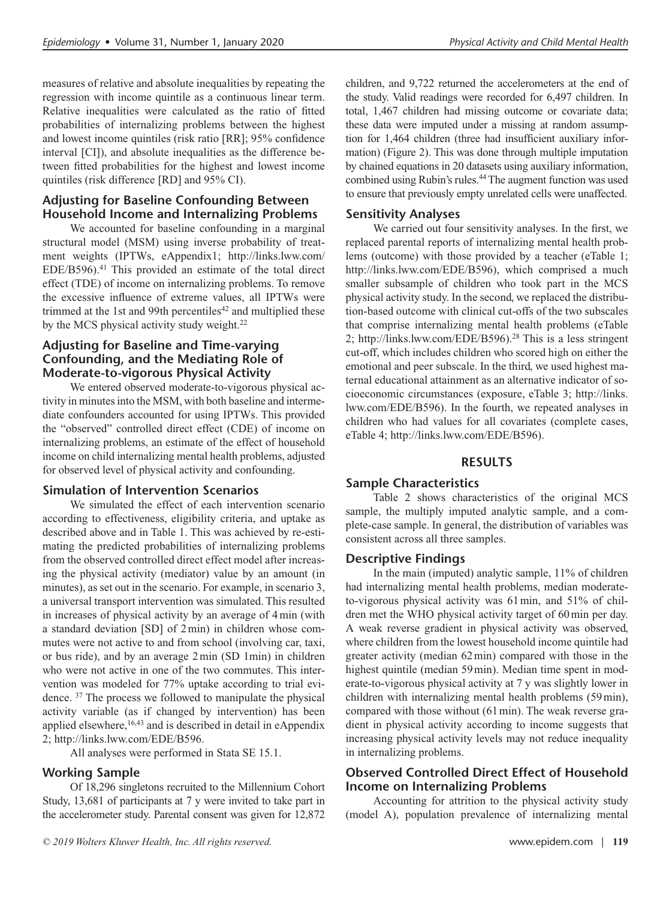measures of relative and absolute inequalities by repeating the regression with income quintile as a continuous linear term. Relative inequalities were calculated as the ratio of fitted probabilities of internalizing problems between the highest and lowest income quintiles (risk ratio [RR]; 95% confidence interval [CI]), and absolute inequalities as the difference between fitted probabilities for the highest and lowest income quintiles (risk difference [RD] and 95% CI).

# **Adjusting for Baseline Confounding Between Household Income and Internalizing Problems**

We accounted for baseline confounding in a marginal structural model (MSM) using inverse probability of treatment weights (IPTWs, eAppendix1; [http://links.lww.com/](http://links.lww.com/EDE/B596) [EDE/B596\)](http://links.lww.com/EDE/B596).<sup>41</sup> This provided an estimate of the total direct effect (TDE) of income on internalizing problems. To remove the excessive influence of extreme values, all IPTWs were trimmed at the 1st and 99th percentiles $42$  and multiplied these by the MCS physical activity study weight.<sup>22</sup>

## **Adjusting for Baseline and Time-varying Confounding, and the Mediating Role of Moderate-to-vigorous Physical Activity**

We entered observed moderate-to-vigorous physical activity in minutes into the MSM, with both baseline and intermediate confounders accounted for using IPTWs. This provided the "observed" controlled direct effect (CDE) of income on internalizing problems, an estimate of the effect of household income on child internalizing mental health problems, adjusted for observed level of physical activity and confounding.

## **Simulation of Intervention Scenarios**

We simulated the effect of each intervention scenario according to effectiveness, eligibility criteria, and uptake as described above and in Table 1. This was achieved by re-estimating the predicted probabilities of internalizing problems from the observed controlled direct effect model after increasing the physical activity (mediator) value by an amount (in minutes), as set out in the scenario. For example, in scenario 3, a universal transport intervention was simulated. This resulted in increases of physical activity by an average of 4min (with a standard deviation [SD] of 2min) in children whose commutes were not active to and from school (involving car, taxi, or bus ride), and by an average 2min (SD 1min) in children who were not active in one of the two commutes. This intervention was modeled for 77% uptake according to trial evidence. 37 The process we followed to manipulate the physical activity variable (as if changed by intervention) has been applied elsewhere,<sup>16,43</sup> and is described in detail in eAppendix 2;<http://links.lww.com/EDE/B596>.

All analyses were performed in Stata SE 15.1.

## **Working Sample**

Of 18,296 singletons recruited to the Millennium Cohort Study, 13,681 of participants at 7 y were invited to take part in the accelerometer study. Parental consent was given for 12,872 children, and 9,722 returned the accelerometers at the end of the study. Valid readings were recorded for 6,497 children. In total, 1,467 children had missing outcome or covariate data; these data were imputed under a missing at random assumption for 1,464 children (three had insufficient auxiliary information) (Figure 2). This was done through multiple imputation by chained equations in 20 datasets using auxiliary information, combined using Rubin's rules.44 The augment function was used to ensure that previously empty unrelated cells were unaffected.

## **Sensitivity Analyses**

We carried out four sensitivity analyses. In the first, we replaced parental reports of internalizing mental health problems (outcome) with those provided by a teacher (eTable 1; <http://links.lww.com/EDE/B596>), which comprised a much smaller subsample of children who took part in the MCS physical activity study. In the second, we replaced the distribution-based outcome with clinical cut-offs of the two subscales that comprise internalizing mental health problems (eTable 2; <http://links.lww.com/EDE/B596>).28 This is a less stringent cut-off, which includes children who scored high on either the emotional and peer subscale. In the third, we used highest maternal educational attainment as an alternative indicator of socioeconomic circumstances (exposure, eTable 3; [http://links.](http://links.lww.com/EDE/B596) [lww.com/EDE/B596](http://links.lww.com/EDE/B596)). In the fourth, we repeated analyses in children who had values for all covariates (complete cases, eTable 4; <http://links.lww.com/EDE/B596>).

## **RESULTS**

## **Sample Characteristics**

Table 2 shows characteristics of the original MCS sample, the multiply imputed analytic sample, and a complete-case sample. In general, the distribution of variables was consistent across all three samples.

## **Descriptive Findings**

In the main (imputed) analytic sample, 11% of children had internalizing mental health problems, median moderateto-vigorous physical activity was 61min, and 51% of children met the WHO physical activity target of 60min per day. A weak reverse gradient in physical activity was observed, where children from the lowest household income quintile had greater activity (median 62min) compared with those in the highest quintile (median 59 min). Median time spent in moderate-to-vigorous physical activity at 7 y was slightly lower in children with internalizing mental health problems (59min), compared with those without (61min). The weak reverse gradient in physical activity according to income suggests that increasing physical activity levels may not reduce inequality in internalizing problems.

## **Observed Controlled Direct Effect of Household Income on Internalizing Problems**

Accounting for attrition to the physical activity study (model A), population prevalence of internalizing mental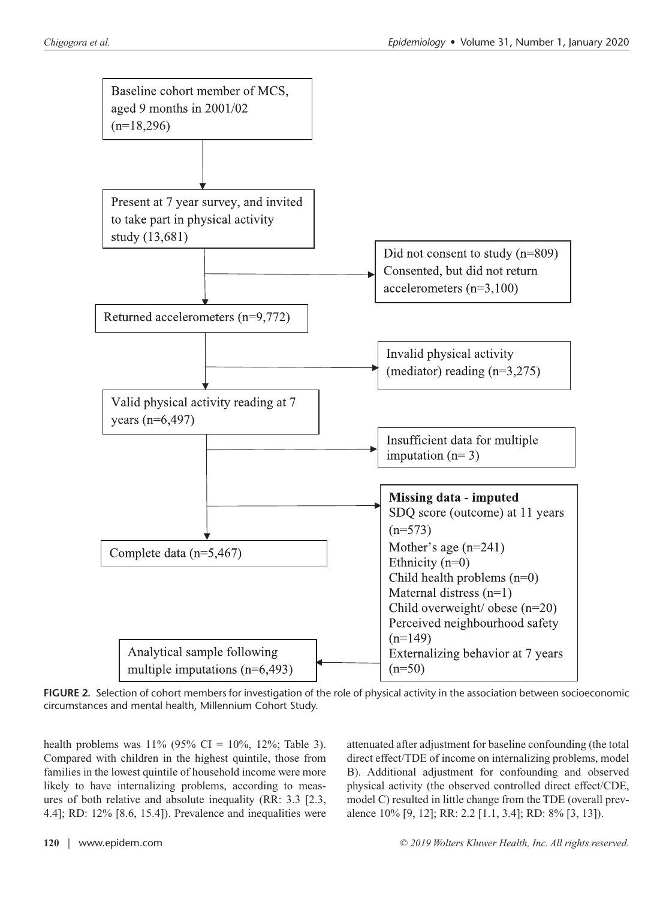

**FIGURE 2.** Selection of cohort members for investigation of the role of physical activity in the association between socioeconomic circumstances and mental health, Millennium Cohort Study.

health problems was  $11\%$  (95% CI = 10%, 12%; Table 3). Compared with children in the highest quintile, those from families in the lowest quintile of household income were more likely to have internalizing problems, according to measures of both relative and absolute inequality (RR: 3.3 [2.3, 4.4]; RD: 12% [8.6, 15.4]). Prevalence and inequalities were attenuated after adjustment for baseline confounding (the total direct effect/TDE of income on internalizing problems, model B). Additional adjustment for confounding and observed physical activity (the observed controlled direct effect/CDE, model C) resulted in little change from the TDE (overall prevalence 10% [9, 12]; RR: 2.2 [1.1, 3.4]; RD: 8% [3, 13]).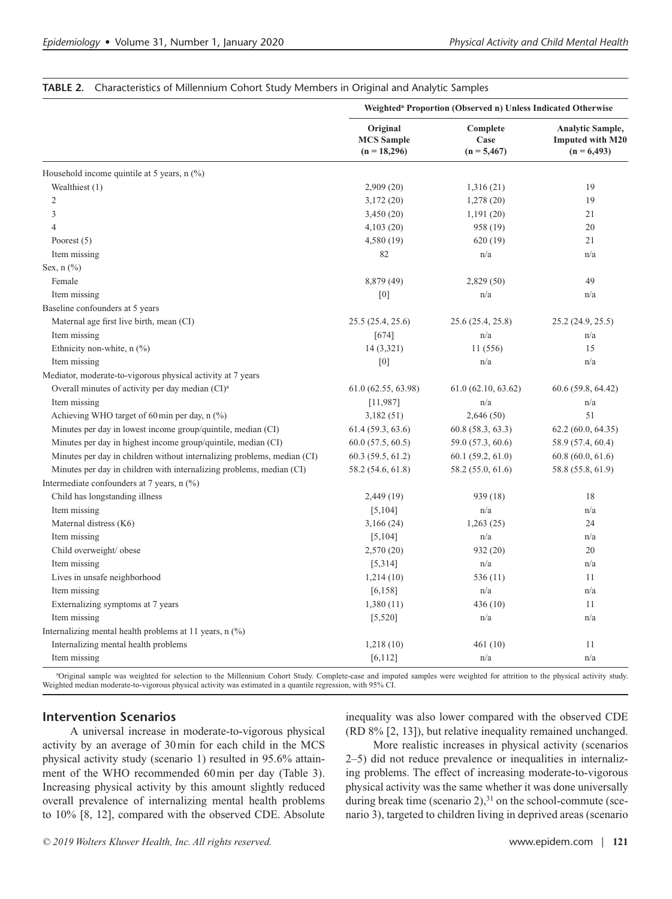|                                                                         | Weighted <sup>a</sup> Proportion (Observed n) Unless Indicated Otherwise |                                   |                                                                     |  |
|-------------------------------------------------------------------------|--------------------------------------------------------------------------|-----------------------------------|---------------------------------------------------------------------|--|
|                                                                         | Original<br><b>MCS</b> Sample<br>$(n = 18,296)$                          | Complete<br>Case<br>$(n = 5,467)$ | <b>Analytic Sample,</b><br><b>Imputed with M20</b><br>$(n = 6,493)$ |  |
| Household income quintile at 5 years, $n$ (%)                           |                                                                          |                                   |                                                                     |  |
| Wealthiest (1)                                                          | 2,909(20)                                                                | 1,316(21)                         | 19                                                                  |  |
| $\overline{c}$                                                          | 3,172(20)                                                                | 1,278(20)                         | 19                                                                  |  |
| 3                                                                       | 3,450(20)                                                                | 1,191(20)                         | 21                                                                  |  |
| 4                                                                       | 4,103(20)                                                                | 958 (19)                          | 20                                                                  |  |
| Poorest $(5)$                                                           | 4,580 (19)                                                               | 620 (19)                          | 21                                                                  |  |
| Item missing                                                            | 82                                                                       | n/a                               | n/a                                                                 |  |
| Sex, $n$ $(\%)$                                                         |                                                                          |                                   |                                                                     |  |
| Female                                                                  | 8,879 (49)                                                               | 2,829 (50)                        | 49                                                                  |  |
| Item missing                                                            | $[0]$                                                                    | n/a                               | n/a                                                                 |  |
| Baseline confounders at 5 years                                         |                                                                          |                                   |                                                                     |  |
| Maternal age first live birth, mean (CI)                                | 25.5 (25.4, 25.6)                                                        | 25.6 (25.4, 25.8)                 | 25.2 (24.9, 25.5)                                                   |  |
| Item missing                                                            | [674]                                                                    | n/a                               | n/a                                                                 |  |
| Ethnicity non-white, $n$ (%)                                            | 14 (3,321)                                                               | 11 (556)                          | 15                                                                  |  |
| Item missing                                                            | [0]                                                                      | n/a                               | n/a                                                                 |  |
| Mediator, moderate-to-vigorous physical activity at 7 years             |                                                                          |                                   |                                                                     |  |
| Overall minutes of activity per day median (CI) <sup>a</sup>            | 61.0 (62.55, 63.98)                                                      | 61.0(62.10, 63.62)                | 60.6 (59.8, 64.42)                                                  |  |
| Item missing                                                            | [11,987]                                                                 | n/a                               | n/a                                                                 |  |
| Achieving WHO target of 60 min per day, $n$ (%)                         | 3,182(51)                                                                | 2,646(50)                         | 51                                                                  |  |
| Minutes per day in lowest income group/quintile, median (CI)            | 61.4 (59.3, 63.6)                                                        | 60.8 (58.3, 63.3)                 | 62.2 (60.0, 64.35)                                                  |  |
| Minutes per day in highest income group/quintile, median (CI)           | 60.0(57.5, 60.5)                                                         | 59.0 (57.3, 60.6)                 | 58.9 (57.4, 60.4)                                                   |  |
| Minutes per day in children without internalizing problems, median (CI) | 60.3(59.5, 61.2)                                                         | 60.1(59.2, 61.0)                  | 60.8(60.0, 61.6)                                                    |  |
| Minutes per day in children with internalizing problems, median (CI)    | 58.2 (54.6, 61.8)                                                        | 58.2 (55.0, 61.6)                 | 58.8 (55.8, 61.9)                                                   |  |
| Intermediate confounders at 7 years, n (%)                              |                                                                          |                                   |                                                                     |  |
| Child has longstanding illness                                          | 2,449(19)                                                                | 939 (18)                          | 18                                                                  |  |
| Item missing                                                            | [5, 104]                                                                 | n/a                               | n/a                                                                 |  |
| Maternal distress (K6)                                                  | 3,166(24)                                                                | 1,263(25)                         | 24                                                                  |  |
| Item missing                                                            | [5, 104]                                                                 | n/a                               | n/a                                                                 |  |
| Child overweight/ obese                                                 | 2,570 (20)                                                               | 932 (20)                          | 20                                                                  |  |
| Item missing                                                            | [5,314]                                                                  | n/a                               | n/a                                                                 |  |
| Lives in unsafe neighborhood                                            | 1,214(10)                                                                | 536 (11)                          | 11                                                                  |  |
| Item missing                                                            | [6, 158]                                                                 | n/a                               | n/a                                                                 |  |
| Externalizing symptoms at 7 years                                       | 1,380(11)                                                                | 436 (10)                          | 11                                                                  |  |
| Item missing                                                            | [5,520]                                                                  | n/a                               | n/a                                                                 |  |
| Internalizing mental health problems at 11 years, $n$ $(\%)$            |                                                                          |                                   |                                                                     |  |
| Internalizing mental health problems                                    | 1,218(10)                                                                | 461 (10)                          | 11                                                                  |  |
| Item missing                                                            | [6, 112]                                                                 | n/a                               | n/a                                                                 |  |

#### **TABLE 2.** Characteristics of Millennium Cohort Study Members in Original and Analytic Samples

a Original sample was weighted for selection to the Millennium Cohort Study. Complete-case and imputed samples were weighted for attrition to the physical activity study. Weighted median moderate-to-vigorous physical activity was estimated in a quantile regression, with 95% CI.

#### **Intervention Scenarios**

A universal increase in moderate-to-vigorous physical activity by an average of 30min for each child in the MCS physical activity study (scenario 1) resulted in 95.6% attainment of the WHO recommended 60min per day (Table 3). Increasing physical activity by this amount slightly reduced overall prevalence of internalizing mental health problems to 10% [8, 12], compared with the observed CDE. Absolute inequality was also lower compared with the observed CDE (RD 8% [2, 13]), but relative inequality remained unchanged.

More realistic increases in physical activity (scenarios 2–5) did not reduce prevalence or inequalities in internalizing problems. The effect of increasing moderate-to-vigorous physical activity was the same whether it was done universally during break time (scenario  $2$ ), $31$  on the school-commute (scenario 3), targeted to children living in deprived areas (scenario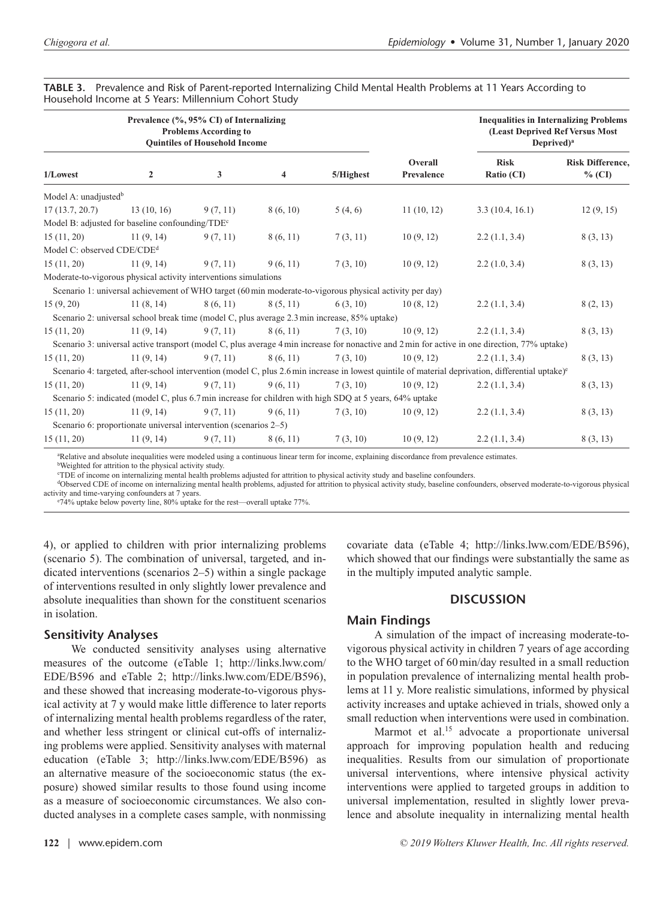| Prevalence (%, 95% CI) of Internalizing<br><b>Problems According to</b><br><b>Quintiles of Household Income</b> |                                                                                                         |          |          |           |                       | <b>Inequalities in Internalizing Problems</b><br>(Least Deprived Ref Versus Most<br>Deprived) <sup><math>a</math></sup>                                       |                                     |
|-----------------------------------------------------------------------------------------------------------------|---------------------------------------------------------------------------------------------------------|----------|----------|-----------|-----------------------|---------------------------------------------------------------------------------------------------------------------------------------------------------------|-------------------------------------|
| 1/Lowest                                                                                                        | $\overline{2}$                                                                                          | 3        | 4        | 5/Highest | Overall<br>Prevalence | <b>Risk</b><br>Ratio (CI)                                                                                                                                     | <b>Risk Difference.</b><br>$%$ (CI) |
| Model A: unadjusted <sup>b</sup>                                                                                |                                                                                                         |          |          |           |                       |                                                                                                                                                               |                                     |
| 17(13.7, 20.7)                                                                                                  | 13(10, 16)                                                                                              | 9(7, 11) | 8(6, 10) | 5(4,6)    | 11(10, 12)            | 3.3(10.4, 16.1)                                                                                                                                               | 12(9, 15)                           |
|                                                                                                                 | Model B: adjusted for baseline confounding/TDE <sup>c</sup>                                             |          |          |           |                       |                                                                                                                                                               |                                     |
| 15(11, 20)                                                                                                      | 11(9, 14)                                                                                               | 9(7, 11) | 8(6, 11) | 7(3, 11)  | 10(9, 12)             | 2.2(1.1, 3.4)                                                                                                                                                 | 8(3, 13)                            |
| Model C: observed CDE/CDE <sup>d</sup>                                                                          |                                                                                                         |          |          |           |                       |                                                                                                                                                               |                                     |
| 15(11, 20)                                                                                                      | 11(9, 14)                                                                                               | 9(7, 11) | 9(6, 11) | 7(3, 10)  | 10(9, 12)             | 2.2(1.0, 3.4)                                                                                                                                                 | 8(3, 13)                            |
|                                                                                                                 | Moderate-to-vigorous physical activity interventions simulations                                        |          |          |           |                       |                                                                                                                                                               |                                     |
|                                                                                                                 | Scenario 1: universal achievement of WHO target (60 min moderate-to-vigorous physical activity per day) |          |          |           |                       |                                                                                                                                                               |                                     |
| 15(9, 20)                                                                                                       | 11(8, 14)                                                                                               | 8(6, 11) | 8(5, 11) | 6(3, 10)  | 10(8, 12)             | 2.2(1.1, 3.4)                                                                                                                                                 | 8(2, 13)                            |
|                                                                                                                 | Scenario 2: universal school break time (model C, plus average 2.3 min increase, 85% uptake)            |          |          |           |                       |                                                                                                                                                               |                                     |
| 15(11, 20)                                                                                                      | 11(9, 14)                                                                                               | 9(7, 11) | 8(6, 11) | 7(3, 10)  | 10(9, 12)             | 2.2(1.1, 3.4)                                                                                                                                                 | 8(3, 13)                            |
|                                                                                                                 |                                                                                                         |          |          |           |                       | Scenario 3: universal active transport (model C, plus average 4 min increase for nonactive and 2 min for active in one direction, 77% uptake)                 |                                     |
| 15(11, 20)                                                                                                      | 11(9, 14)                                                                                               | 9(7, 11) | 8(6, 11) | 7(3, 10)  | 10(9, 12)             | 2.2(1.1, 3.4)                                                                                                                                                 | 8(3, 13)                            |
|                                                                                                                 |                                                                                                         |          |          |           |                       | Scenario 4: targeted, after-school intervention (model C, plus 2.6 min increase in lowest quintile of material deprivation, differential uptake) <sup>e</sup> |                                     |
| 15(11, 20)                                                                                                      | 11(9, 14)                                                                                               | 9(7, 11) | 9(6, 11) | 7(3, 10)  | 10(9, 12)             | 2.2(1.1, 3.4)                                                                                                                                                 | 8(3, 13)                            |
|                                                                                                                 | Scenario 5: indicated (model C, plus 6.7 min increase for children with high SDQ at 5 years, 64% uptake |          |          |           |                       |                                                                                                                                                               |                                     |
| 15(11, 20)                                                                                                      | 11(9, 14)                                                                                               | 9(7, 11) | 9(6, 11) | 7(3, 10)  | 10(9, 12)             | 2.2(1.1, 3.4)                                                                                                                                                 | 8(3, 13)                            |
|                                                                                                                 | Scenario 6: proportionate universal intervention (scenarios 2–5)                                        |          |          |           |                       |                                                                                                                                                               |                                     |
| 15(11, 20)                                                                                                      | 11(9, 14)                                                                                               | 9(7, 11) | 8(6, 11) | 7(3, 10)  | 10(9, 12)             | 2.2(1.1, 3.4)                                                                                                                                                 | 8(3, 13)                            |

**TABLE 3.** Prevalence and Risk of Parent-reported Internalizing Child Mental Health Problems at 11 Years According to Household Income at 5 Years: Millennium Cohort Study

a Relative and absolute inequalities were modeled using a continuous linear term for income, explaining discordance from prevalence estimates.

b Weighted for attrition to the physical activity study.

c TDE of income on internalizing mental health problems adjusted for attrition to physical activity study and baseline confounders.

d Observed CDE of income on internalizing mental health problems, adjusted for attrition to physical activity study, baseline confounders, observed moderate-to-vigorous physical activity and time-varying confounders at 7 years.

e 74% uptake below poverty line, 80% uptake for the rest—overall uptake 77%.

4), or applied to children with prior internalizing problems (scenario 5). The combination of universal, targeted, and indicated interventions (scenarios 2–5) within a single package of interventions resulted in only slightly lower prevalence and absolute inequalities than shown for the constituent scenarios in isolation.

#### **Sensitivity Analyses**

We conducted sensitivity analyses using alternative measures of the outcome (eTable 1; [http://links.lww.com/](http://links.lww.com/EDE/B596) [EDE/B596](http://links.lww.com/EDE/B596) and eTable 2; <http://links.lww.com/EDE/B596>), and these showed that increasing moderate-to-vigorous physical activity at 7 y would make little difference to later reports of internalizing mental health problems regardless of the rater, and whether less stringent or clinical cut-offs of internalizing problems were applied. Sensitivity analyses with maternal education (eTable 3; [http://links.lww.com/EDE/B596\)](http://links.lww.com/EDE/B596) as an alternative measure of the socioeconomic status (the exposure) showed similar results to those found using income as a measure of socioeconomic circumstances. We also conducted analyses in a complete cases sample, with nonmissing covariate data (eTable 4; <http://links.lww.com/EDE/B596>), which showed that our findings were substantially the same as in the multiply imputed analytic sample.

#### **DISCUSSION**

#### **Main Findings**

A simulation of the impact of increasing moderate-tovigorous physical activity in children 7 years of age according to the WHO target of 60min/day resulted in a small reduction in population prevalence of internalizing mental health problems at 11 y. More realistic simulations, informed by physical activity increases and uptake achieved in trials, showed only a small reduction when interventions were used in combination.

Marmot et al.<sup>15</sup> advocate a proportionate universal approach for improving population health and reducing inequalities. Results from our simulation of proportionate universal interventions, where intensive physical activity interventions were applied to targeted groups in addition to universal implementation, resulted in slightly lower prevalence and absolute inequality in internalizing mental health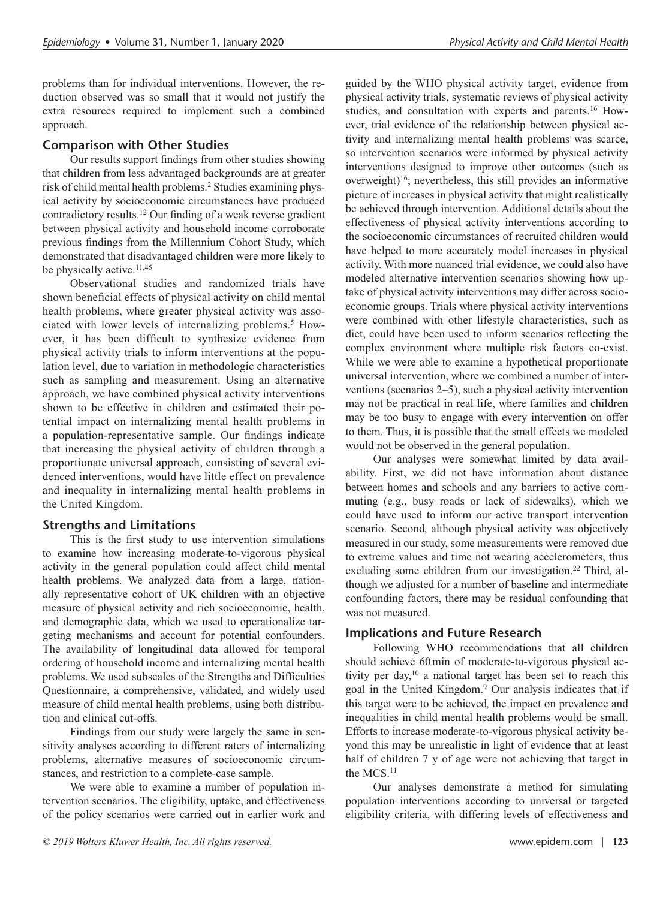problems than for individual interventions. However, the reduction observed was so small that it would not justify the extra resources required to implement such a combined approach.

#### **Comparison with Other Studies**

Our results support findings from other studies showing that children from less advantaged backgrounds are at greater risk of child mental health problems.2 Studies examining physical activity by socioeconomic circumstances have produced contradictory results.12 Our finding of a weak reverse gradient between physical activity and household income corroborate previous findings from the Millennium Cohort Study, which demonstrated that disadvantaged children were more likely to be physically active.<sup>11,45</sup>

Observational studies and randomized trials have shown beneficial effects of physical activity on child mental health problems, where greater physical activity was associated with lower levels of internalizing problems.<sup>5</sup> However, it has been difficult to synthesize evidence from physical activity trials to inform interventions at the population level, due to variation in methodologic characteristics such as sampling and measurement. Using an alternative approach, we have combined physical activity interventions shown to be effective in children and estimated their potential impact on internalizing mental health problems in a population-representative sample. Our findings indicate that increasing the physical activity of children through a proportionate universal approach, consisting of several evidenced interventions, would have little effect on prevalence and inequality in internalizing mental health problems in the United Kingdom.

#### **Strengths and Limitations**

This is the first study to use intervention simulations to examine how increasing moderate-to-vigorous physical activity in the general population could affect child mental health problems. We analyzed data from a large, nationally representative cohort of UK children with an objective measure of physical activity and rich socioeconomic, health, and demographic data, which we used to operationalize targeting mechanisms and account for potential confounders. The availability of longitudinal data allowed for temporal ordering of household income and internalizing mental health problems. We used subscales of the Strengths and Difficulties Questionnaire, a comprehensive, validated, and widely used measure of child mental health problems, using both distribution and clinical cut-offs.

Findings from our study were largely the same in sensitivity analyses according to different raters of internalizing problems, alternative measures of socioeconomic circumstances, and restriction to a complete-case sample.

We were able to examine a number of population intervention scenarios. The eligibility, uptake, and effectiveness of the policy scenarios were carried out in earlier work and guided by the WHO physical activity target, evidence from physical activity trials, systematic reviews of physical activity studies, and consultation with experts and parents.16 However, trial evidence of the relationship between physical activity and internalizing mental health problems was scarce, so intervention scenarios were informed by physical activity interventions designed to improve other outcomes (such as overweight)<sup>16</sup>; nevertheless, this still provides an informative picture of increases in physical activity that might realistically be achieved through intervention. Additional details about the effectiveness of physical activity interventions according to the socioeconomic circumstances of recruited children would have helped to more accurately model increases in physical activity. With more nuanced trial evidence, we could also have modeled alternative intervention scenarios showing how uptake of physical activity interventions may differ across socioeconomic groups. Trials where physical activity interventions were combined with other lifestyle characteristics, such as diet, could have been used to inform scenarios reflecting the complex environment where multiple risk factors co-exist. While we were able to examine a hypothetical proportionate universal intervention, where we combined a number of interventions (scenarios 2–5), such a physical activity intervention may not be practical in real life, where families and children may be too busy to engage with every intervention on offer to them. Thus, it is possible that the small effects we modeled would not be observed in the general population.

Our analyses were somewhat limited by data availability. First, we did not have information about distance between homes and schools and any barriers to active commuting (e.g., busy roads or lack of sidewalks), which we could have used to inform our active transport intervention scenario. Second, although physical activity was objectively measured in our study, some measurements were removed due to extreme values and time not wearing accelerometers, thus excluding some children from our investigation.<sup>22</sup> Third, although we adjusted for a number of baseline and intermediate confounding factors, there may be residual confounding that was not measured.

#### **Implications and Future Research**

Following WHO recommendations that all children should achieve 60min of moderate-to-vigorous physical activity per day, $10$  a national target has been set to reach this goal in the United Kingdom.9 Our analysis indicates that if this target were to be achieved, the impact on prevalence and inequalities in child mental health problems would be small. Efforts to increase moderate-to-vigorous physical activity beyond this may be unrealistic in light of evidence that at least half of children 7 y of age were not achieving that target in the MCS.<sup>11</sup>

Our analyses demonstrate a method for simulating population interventions according to universal or targeted eligibility criteria, with differing levels of effectiveness and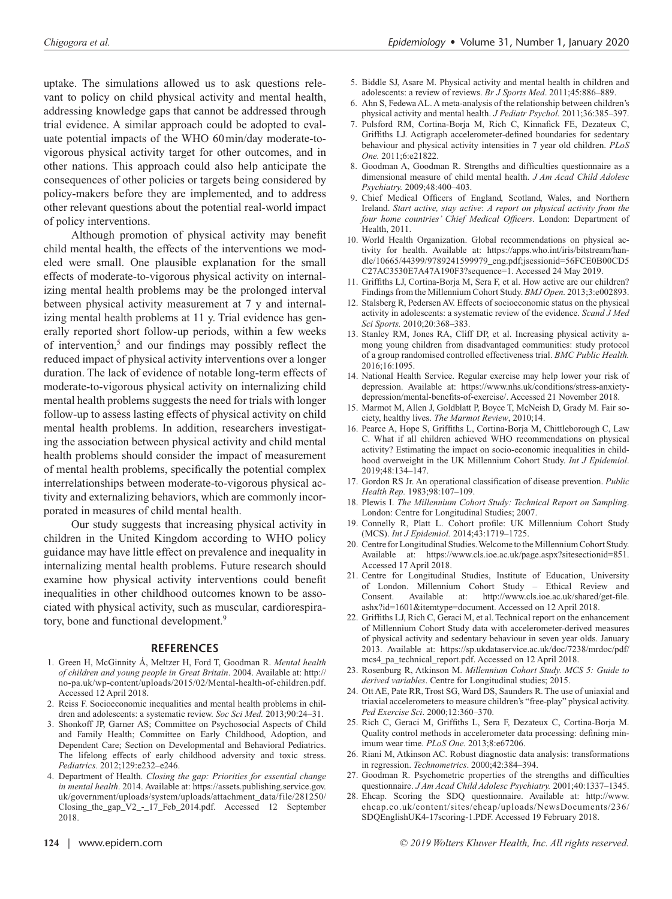uptake. The simulations allowed us to ask questions relevant to policy on child physical activity and mental health, addressing knowledge gaps that cannot be addressed through trial evidence. A similar approach could be adopted to evaluate potential impacts of the WHO 60min/day moderate-tovigorous physical activity target for other outcomes, and in other nations. This approach could also help anticipate the consequences of other policies or targets being considered by policy-makers before they are implemented, and to address other relevant questions about the potential real-world impact of policy interventions.

Although promotion of physical activity may benefit child mental health, the effects of the interventions we modeled were small. One plausible explanation for the small effects of moderate-to-vigorous physical activity on internalizing mental health problems may be the prolonged interval between physical activity measurement at 7 y and internalizing mental health problems at 11 y. Trial evidence has generally reported short follow-up periods, within a few weeks of intervention,<sup>5</sup> and our findings may possibly reflect the reduced impact of physical activity interventions over a longer duration. The lack of evidence of notable long-term effects of moderate-to-vigorous physical activity on internalizing child mental health problems suggests the need for trials with longer follow-up to assess lasting effects of physical activity on child mental health problems. In addition, researchers investigating the association between physical activity and child mental health problems should consider the impact of measurement of mental health problems, specifically the potential complex interrelationships between moderate-to-vigorous physical activity and externalizing behaviors, which are commonly incorporated in measures of child mental health.

Our study suggests that increasing physical activity in children in the United Kingdom according to WHO policy guidance may have little effect on prevalence and inequality in internalizing mental health problems. Future research should examine how physical activity interventions could benefit inequalities in other childhood outcomes known to be associated with physical activity, such as muscular, cardiorespiratory, bone and functional development.<sup>9</sup>

#### **REFERENCES**

- 1. Green H, McGinnity Á, Meltzer H, Ford T, Goodman R. *Mental health of children and young people in Great Britain*. 2004. Available at: [http://](http://no-pa.uk/wp-content/uploads/2015/02/Mental-health-of-children.pdf) [no-pa.uk/wp-content/uploads/2015/02/Mental-health-of-children.pdf.](http://no-pa.uk/wp-content/uploads/2015/02/Mental-health-of-children.pdf) Accessed 12 April 2018.
- 2. Reiss F. Socioeconomic inequalities and mental health problems in children and adolescents: a systematic review. *Soc Sci Med.* 2013;90:24–31.
- 3. Shonkoff JP, Garner AS; Committee on Psychosocial Aspects of Child and Family Health; Committee on Early Childhood, Adoption, and Dependent Care; Section on Developmental and Behavioral Pediatrics. The lifelong effects of early childhood adversity and toxic stress. *Pediatrics.* 2012;129:e232–e246.
- 4. Department of Health. *Closing the gap: Priorities for essential change in mental health*. 2014. Available at: [https://assets.publishing.service.gov.](https://assets.publishing.service.gov.uk/government/uploads/system/uploads/attachment_data/file/281250/Closing_the_gap_V2_-_17_Feb_2014.pdf) [uk/government/uploads/system/uploads/attachment\\_data/file/281250/](https://assets.publishing.service.gov.uk/government/uploads/system/uploads/attachment_data/file/281250/Closing_the_gap_V2_-_17_Feb_2014.pdf) [Closing\\_the\\_gap\\_V2\\_-\\_17\\_Feb\\_2014.pdf.](https://assets.publishing.service.gov.uk/government/uploads/system/uploads/attachment_data/file/281250/Closing_the_gap_V2_-_17_Feb_2014.pdf) Accessed 12 September 2018.
- 5. Biddle SJ, Asare M. Physical activity and mental health in children and adolescents: a review of reviews. *Br J Sports Med*. 2011;45:886–889.
- 6. Ahn S, Fedewa AL. A meta-analysis of the relationship between children's physical activity and mental health. *J Pediatr Psychol.* 2011;36:385–397.
- 7. Pulsford RM, Cortina-Borja M, Rich C, Kinnafick FE, Dezateux C, Griffiths LJ. Actigraph accelerometer-defined boundaries for sedentary behaviour and physical activity intensities in 7 year old children. *PLoS One.* 2011;6:e21822.
- 8. Goodman A, Goodman R. Strengths and difficulties questionnaire as a dimensional measure of child mental health. *J Am Acad Child Adolesc Psychiatry.* 2009;48:400–403.
- 9. Chief Medical Officers of England, Scotland, Wales, and Northern Ireland. *Start active, stay active*: *A report on physical activity from the four home countries' Chief Medical Officers*. London: Department of Health, 2011.
- 10. World Health Organization. Global recommendations on physical activity for health. Available at: [https://apps.who.int/iris/bitstream/han](https://apps.who.int/iris/bitstream/handle/10665/44399/9789241599979_eng.pdf;jsessionid=56FCE0B00CD5C27AC3530E7A47A190F3?sequence=1)[dle/10665/44399/9789241599979\\_eng.pdf;jsessionid=56FCE0B00CD5](https://apps.who.int/iris/bitstream/handle/10665/44399/9789241599979_eng.pdf;jsessionid=56FCE0B00CD5C27AC3530E7A47A190F3?sequence=1) [C27AC3530E7A47A190F3?sequence=1](https://apps.who.int/iris/bitstream/handle/10665/44399/9789241599979_eng.pdf;jsessionid=56FCE0B00CD5C27AC3530E7A47A190F3?sequence=1). Accessed 24 May 2019.
- 11. Griffiths LJ, Cortina-Borja M, Sera F, et al. How active are our children? Findings from the Millennium Cohort Study. *BMJ Open.* 2013;3:e002893.
- 12. Stalsberg R, Pedersen AV. Effects of socioeconomic status on the physical activity in adolescents: a systematic review of the evidence. *Scand J Med Sci Sports.* 2010;20:368–383.
- 13. Stanley RM, Jones RA, Cliff DP, et al. Increasing physical activity among young children from disadvantaged communities: study protocol of a group randomised controlled effectiveness trial. *BMC Public Health.* 2016;16:1095.
- 14. National Health Service. Regular exercise may help lower your risk of depression. Available at: [https://www.nhs.uk/conditions/stress-anxiety](https://www.nhs.uk/conditions/stress-anxiety-depression/mental-benefits-of-exercise/)[depression/mental-benefits-of-exercise/.](https://www.nhs.uk/conditions/stress-anxiety-depression/mental-benefits-of-exercise/) Accessed 21 November 2018.
- 15. Marmot M, Allen J, Goldblatt P, Boyce T, McNeish D, Grady M. Fair society, healthy lives. *The Marmot Review*, 2010;14.
- 16. Pearce A, Hope S, Griffiths L, Cortina-Borja M, Chittleborough C, Law C. What if all children achieved WHO recommendations on physical activity? Estimating the impact on socio-economic inequalities in childhood overweight in the UK Millennium Cohort Study. *Int J Epidemiol*. 2019;48:134–147.
- 17. Gordon RS Jr. An operational classification of disease prevention. *Public Health Rep.* 1983;98:107–109.
- 18. Plewis I. *The Millennium Cohort Study: Technical Report on Sampling*. London: Centre for Longitudinal Studies; 2007.
- 19. Connelly R, Platt L. Cohort profile: UK Millennium Cohort Study (MCS). *Int J Epidemiol.* 2014;43:1719–1725.
- 20. Centre for Longitudinal Studies. Welcome to the Millennium Cohort Study. Available at: <https://www.cls.ioe.ac.uk/page.aspx?sitesectionid=851>. Accessed 17 April 2018.
- 21. Centre for Longitudinal Studies, Institute of Education, University of London. Millennium Cohort Study – Ethical Review and Consent. Available at: [http://www.cls.ioe.ac.uk/shared/get-file.](http://www.cls.ioe.ac.uk/shared/get-file.ashx?id=1601&itemtype=document) [ashx?id=1601&itemtype=document](http://www.cls.ioe.ac.uk/shared/get-file.ashx?id=1601&itemtype=document). Accessed on 12 April 2018.
- 22. Griffiths LJ, Rich C, Geraci M, et al. Technical report on the enhancement of Millennium Cohort Study data with accelerometer-derived measures of physical activity and sedentary behaviour in seven year olds. January 2013. Available at: [https://sp.ukdataservice.ac.uk/doc/7238/mrdoc/pdf/](https://sp.ukdataservice.ac.uk/doc/7238/mrdoc/pdf/mcs4_pa_technical_report.pdf) [mcs4\\_pa\\_technical\\_report.pdf](https://sp.ukdataservice.ac.uk/doc/7238/mrdoc/pdf/mcs4_pa_technical_report.pdf). Accessed on 12 April 2018.
- 23. Rosenburg R, Atkinson M. *Millennium Cohort Study. MCS 5: Guide to derived variables*. Centre for Longitudinal studies; 2015.
- 24. Ott AE, Pate RR, Trost SG, Ward DS, Saunders R. The use of uniaxial and triaxial accelerometers to measure children's "free-play" physical activity. *Ped Exercise Sci*. 2000;12:360–370.
- 25. Rich C, Geraci M, Griffiths L, Sera F, Dezateux C, Cortina-Borja M. Quality control methods in accelerometer data processing: defining minimum wear time. *PLoS One.* 2013;8:e67206.
- 26. Riani M, Atkinson AC. Robust diagnostic data analysis: transformations in regression. *Technometrics*. 2000;42:384–394.
- 27. Goodman R. Psychometric properties of the strengths and difficulties questionnaire. *J Am Acad Child Adolesc Psychiatry.* 2001;40:1337–1345.
- 28. Ehcap. Scoring the SDQ questionnaire. Available at: [http://www.](http://www.ehcap.co.uk/content/sites/ehcap/uploads/NewsDocuments/236/SDQEnglishUK4-17scoring-1.PDF) [ehcap.co.uk/content/sites/ehcap/uploads/NewsDocuments/236/](http://www.ehcap.co.uk/content/sites/ehcap/uploads/NewsDocuments/236/SDQEnglishUK4-17scoring-1.PDF) [SDQEnglishUK4-17scoring-1.PDF.](http://www.ehcap.co.uk/content/sites/ehcap/uploads/NewsDocuments/236/SDQEnglishUK4-17scoring-1.PDF) Accessed 19 February 2018.